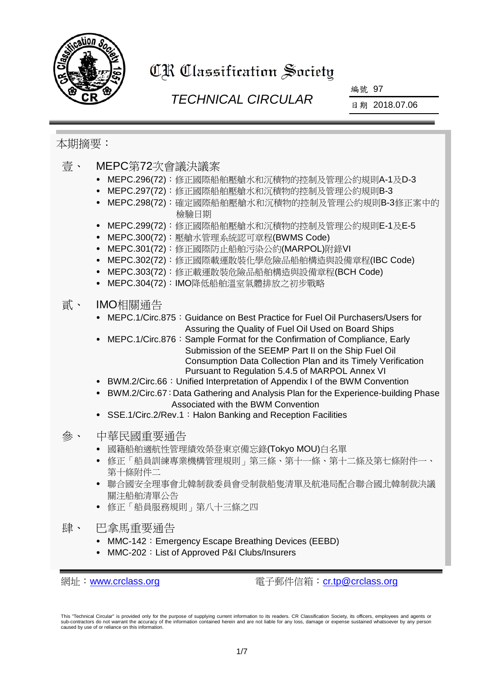

# CR Classification Society

## *TECHNICAL CIRCULAR*

編號 97

日期 2018.07.06

### 本期摘要:

| 壹、 | MEPC第72次會議決議案<br>MEPC.296(72): 修正國際船舶壓艙水和沉積物的控制及管理公約規則A-1及D-3<br>MEPC.297(72): 修正國際船舶壓艙水和沉積物的控制及管理公約規則B-3<br>MEPC.298(72): 確定國際船舶壓艙水和沉積物的控制及管理公約規則B-3修正案中的<br>檢驗日期<br>MEPC.299(72): 修正國際船舶壓艙水和沉積物的控制及管理公約規則E-1及E-5<br>MEPC.300(72): 壓艙水管理系統認可章程(BWMS Code)<br>MEPC.301(72): 修正國際防止船舶污染公約(MARPOL)附錄VI<br>$\bullet$<br>MEPC.302(72): 修正國際載運散裝化學危險品船舶構造與設備章程(IBC Code)<br>MEPC.303(72): 修正載運散裝危險品船舶構造與設備章程(BCH Code)<br>MEPC.304(72): IMO降低船舶溫室氣體排放之初步戰略                                                                                                                                                                                                                                     |
|----|-------------------------------------------------------------------------------------------------------------------------------------------------------------------------------------------------------------------------------------------------------------------------------------------------------------------------------------------------------------------------------------------------------------------------------------------------------------------------------------------------------------------------------------------------------------------------------------------------------------------------------------------------------------------------------------------|
| 貳、 | IMO相關通告<br>MEPC.1/Circ.875: Guidance on Best Practice for Fuel Oil Purchasers/Users for<br>Assuring the Quality of Fuel Oil Used on Board Ships<br>MEPC.1/Circ.876: Sample Format for the Confirmation of Compliance, Early<br>Submission of the SEEMP Part II on the Ship Fuel Oil<br>Consumption Data Collection Plan and its Timely Verification<br>Pursuant to Regulation 5.4.5 of MARPOL Annex VI<br>BWM.2/Circ.66: Unified Interpretation of Appendix I of the BWM Convention<br>BWM.2/Circ.67: Data Gathering and Analysis Plan for the Experience-building Phase<br>$\bullet$<br>Associated with the BWM Convention<br>SSE.1/Circ.2/Rev.1: Halon Banking and Reception Facilities |
| 參  | 中華民國重要通告<br>國籍船舶適航性管理績效榮登東京備忘錄(Tokyo MOU)白名單<br>修正「船員訓練專業機構管理規則」第三條、第十一條、第十二條及第七條附件一、<br>第十條附件二<br>聯合國安全理事會北韓制裁委員會受制裁船隻清單及航港局配合聯合國北韓制裁決議<br>關注船舶清單公告<br>修正「船員服務規則」第八十三條之四                                                                                                                                                                                                                                                                                                                                                                                                                                                                                                                 |
| 肆、 | 巴拿馬重要通告<br>MMC-142: Emergency Escape Breathing Devices (EEBD)                                                                                                                                                                                                                                                                                                                                                                                                                                                                                                                                                                                                                             |

• MMC-202: List of Approved P&I Clubs/Insurers

網址: [www.crclass.org](http://www.crclass.org/) 電子郵件信箱: [cr.tp@crclass.org](mailto:cr.tp@crclass.org)

This "Technical Circular" is provided only for the purpose of supplying current information to its readers. CR Classification Society, its officers, employees and agents or<br>sub-contractors do not warrant the accuracy of th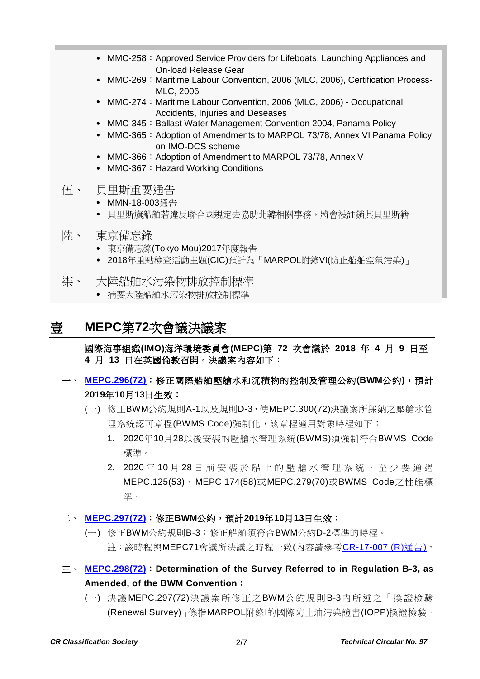- MMC-258: Approved Service Providers for Lifeboats, Launching Appliances and On-load Release Gear
- MMC-269: Maritime Labour Convention, 2006 (MLC, 2006), Certification Process-MLC, 2006
- MMC-274: Maritime Labour Convention, 2006 (MLC, 2006) Occupational Accidents, Injuries and Deseases
- MMC-345: Ballast Water Management Convention 2004, Panama Policy
- MMC-365: Adoption of Amendments to MARPOL 73/78, Annex VI Panama Policy on IMO-DCS scheme
- MMC-366: Adoption of Amendment to MARPOL 73/78, Annex V
- MMC-367: Hazard Working Conditions
- 伍、 貝里斯重要通告
	- MMN-18-003通告
	- 貝里斯旗船舶若違反聯合國規定去協助北韓相關事務,將會被註銷其貝里斯籍
- 陸、 東京備忘錄
	- 東京備忘錄(Tokyo Mou)2017年度報告
	- 2018年重點檢查活動主題(CIC)預計為「MARPOL附錄VI(防止船舶空氣污染)」
- 柒、 大陸船舶水污染物排放控制標準
	- 摘要大陸船舶水污染物排放控制標準

### 壹 **MEPC**第**72**次會議決議案

國際海事組織**(IMO)**海洋環境委員會**(MEPC)**第 **72** 次會議於 **2018** 年 **4** 月 **9** 日至 **4** 月 **13** 日在英國倫敦召開。決議案內容如下:

### 一、 **[MEPC.296\(72\)](http://www.crclass.org/chinese/download/ti-tc/97/1-1%20MEPC.296(72).pdf)**:修正國際船舶壓艙水和沉積物的控制及管理公約**(BWM**公約**)**,預計 **2019**年**10**月**13**日生效:

- (一) 修正BWM公約規則A-1以及規則D-3,使MEPC.300(72)決議案所採納之壓艙水管 理系統認可章程(BWMS Code)強制化,該章程適用對象時程如下:
	- 1. 2020年10月28以後安裝的壓艙水管理系統(BWMS)須強制符合BWMS Code 標準。
	- 2. 2020年10月28日前安裝於船上的壓艙水管理系統,至少要通過 MEPC.125(53)、MEPC.174(58)或MEPC.279(70)或BWMS Code之性能標 準。
- 二、 **[MEPC.297\(72\)](http://www.crclass.org/chinese/download/ti-tc/97/1-2%20MEPC.297(72).pdf)**:修正**BWM**公約,預計**2019**年**10**月**13**日生效:
	- (一) 修正BWM公約規則B-3:修正船舶須符合BWM公約D-2標準的時程。 註:該時程與MEPC71會議所決議之時程一致(內容請參考[CR-17-007 \(R\)](http://www.crclass.org/opennotice/opennotice.php?p=1&search=CR-17-007)通告)。
- 三、 **[MEPC.298\(72\)](http://www.crclass.org/chinese/download/ti-tc/97/1-3%20MEPC.298(72).pdf)**:**Determination of the Survey Referred to in Regulation B-3, as Amended, of the BWM Convention**:
	- (一) 決議 MEPC.297(72)決議案所修正之BWM公約規則B-3內所述之「換證檢驗 (Renewal Survey)」係指MARPOL附錄I的國際防止油污染證書(IOPP)換證檢驗。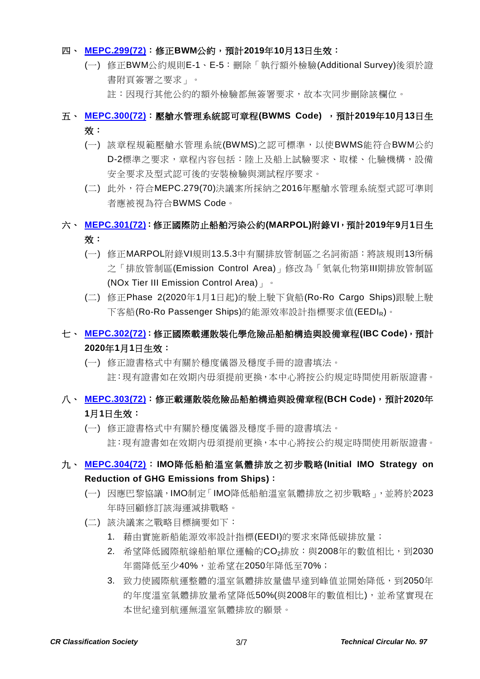#### 四、 **[MEPC.299\(72\)](http://www.crclass.org/chinese/download/ti-tc/97/1-4%20MEPC.299(72).pdf)**:修正**BWM**公約,預計**2019**年**10**月**13**日生效:

- (一) 修正BWM公約規則E-1、E-5:刪除「執行額外檢驗(Additional Survey)後須於證 書附頁簽署之要求」。
	- 註:因現行其他公約的額外檢驗都無簽署要求,故本次同步刪除該欄位。

### 五、 **[MEPC.300\(72\)](http://www.crclass.org/chinese/download/ti-tc/97/1-5%20MEPC.300(72).pdf)**:壓艙水管理系統認可章程**(BWMS Code)** ,預計**2019**年**10**月**13**日生 效:

- (一) 該章程規範壓艙水管理系統(BWMS)之認可標準,以使BWMS能符合BWM公約 D-2標準之要求,章程內容包括:陸上及船上試驗要求、取樣、化驗機構,設備 安全要求及型式認可後的安裝檢驗與測試程序要求。
- (二) 此外,符合MEPC.279(70)決議案所採納之2016年壓艙水管理系統型式認可準則 者應被視為符合BWMS Code。

### 六、 **[MEPC.301\(72\)](http://www.crclass.org/chinese/download/ti-tc/97/1-6%20MEPC.301(72).pdf)**:修正國際防止船舶污染公約**(MARPOL)**附錄**VI**,預計**2019**年**9**月**1**日生 效:

- (一) 修正MARPOL附錄VI規則13.5.3中有關排放管制區之名詞術語:將該規則13所稱 之「排放管制區(Emission Control Area)」修改為「氮氧化物第Ⅲ期排放管制區 (NOx Tier III Emission Control Area)」。
- (二) 修正Phase 2(2020年1月1日起)的駛上駛下貨船(Ro-Ro Cargo Ships)跟駛上駛 下客船(Ro-Ro Passenger Ships)的能源效率設計指標要求值(EEDIR)。

### 七、 **[MEPC.302\(72\)](http://www.crclass.org/chinese/download/ti-tc/97/1-7%20MEPC.302(72).pdf)**:修正國際載運散裝化學危險品船舶構造與設備章程**(IBC Code)**,預計 **2020**年**1**月**1**日生效:

(一) 修正證書格式中有關於穩度儀器及穩度手冊的證書填法。 註:現有證書如在效期內毋須提前更換,本中心將按公約規定時間使用新版證書。

### 八、 **[MEPC.303\(72\)](http://www.crclass.org/chinese/download/ti-tc/97/1-8%20MEPC.303(72).pdf)**:修正載運散裝危險品船舶構造與設備章程**(BCH Code)**,預計**2020**年 **1**月**1**日生效:

(一) 修正證書格式中有關於穩度儀器及穩度手冊的證書填法。 註:現有證書如在效期內毋須提前更換,本中心將按公約規定時間使用新版證書。

### 九、 **[MEPC.304\(72\)](http://www.crclass.org/chinese/download/ti-tc/97/1-9%20MEPC.304(72).pdf)**:**IMO**降低船舶溫室氣體排放之初步戰略**(Initial IMO Strategy on Reduction of GHG Emissions from Ships)**:

- (一) 因應巴黎協議,IMO制定「IMO降低船舶溫室氣體排放之初步戰略」,並將於2023 年時回顧修訂該海運減排戰略。
- (二) 該決議案之戰略目標摘要如下:
	- 1. 藉由實施新船能源效率設計指標(EEDI)的要求來降低碳排放量;
	- 2. 希望降低國際航線船舶單位運輸的CO2排放:與2008年的數值相比,到2030 年需降低至少40%,並希望在2050年降低至70%;
	- 3. 致力使國際航運整體的溫室氣體排放量儘早達到峰值並開始降低,到2050年 的年度溫室氣體排放量希望降低50%(與2008年的數值相比),並希望實現在 本世紀達到航運無溫室氣體排放的願景。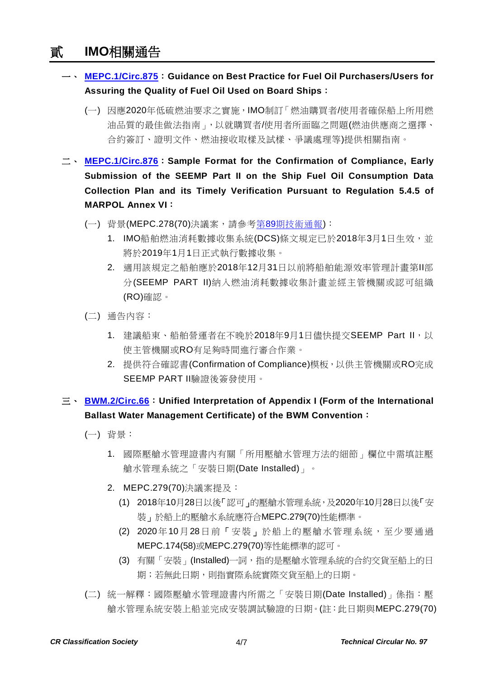### 貳 **IMO**相關通告

- 一、 **[MEPC.1/Circ.875](http://www.crclass.org/chinese/download/ti-tc/97/2-1%20MEPC.1-Circ.875%20-%20Guidance%20On%20Best%20Practice%20For%20Fuel%20Oil%20PurchasersUsers%20For%20Assuring%20The%20Quality%20Of%20Fuel%20Oi...%20(Secretariat).pdf)**:**Guidance on Best Practice for Fuel Oil Purchasers/Users for Assuring the Quality of Fuel Oil Used on Board Ships**:
	- (一) 因應2020年低硫燃油要求之實施,IMO制訂「燃油購買者/使用者確保船上所用燃 油品質的最佳做法指南」,以就購買者/使用者所面臨之問題(燃油供應商之選擇、 合約簽訂、證明文件、燃油接收取樣及試樣、爭議處理等)提供相關指南。
- 二、 **[MEPC.1/Circ.876](http://www.crclass.org/chinese/download/ti-tc/97/2-2%20MEPC.1-Circ.876%20-%20Sample%20Format%20For%20The%20Confirmation%20Of%20Compliance,%20Early%20Submission%20Of%20The%20Seemp%20Part%20Ii%20On...%20(Secretariat).pdf)**:**Sample Format for the Confirmation of Compliance, Early Submission of the SEEMP Part II on the Ship Fuel Oil Consumption Data Collection Plan and its Timely Verification Pursuant to Regulation 5.4.5 of MARPOL Annex VI**:
	- (一) 背景(MEPC.278(70)決議案,請參考第89[期技術通報](http://www.crclass.org/chinese/download/ti-tc/89/89.pdf)):
		- 1. IMO船舶燃油消耗數據收集系統(DCS)條文規定已於2018年3月1日生效,並 將於2019年1月1日正式執行數據收集。
		- 2. 適用該規定之船舶應於2018年12月31日以前將船舶能源效率管理計畫第II部 分(SEEMP PART II)納入燃油消耗數據收集計畫並經主管機關或認可組織 (RO)確認。
	- (二) 通告內容:
		- 1. 建議船東、船舶營運者在不晚於2018年9月1日儘快提交SEEMP Part II,以 使主管機關或RO有足夠時間進行審合作業。
		- 2. 提供符合確認書(Confirmation of Compliance)模板,以供主管機關或RO完成 SEEMP PART II驗證後簽發使用。

### 三、 **[BWM.2/Circ.66](http://www.crclass.org/chinese/download/ti-tc/97/2-3%20BWM.2-Circ.66%20-%20Unified%20interpretation%20of%20Appendix%20I%20(Form%20of%20the%20International%20Ballast%20Water%20Management%20C...%20(Secretariat).pdf)**:**Unified Interpretation of Appendix I (Form of the International Ballast Water Management Certificate) of the BWM Convention**:

- (一) 背景:
	- 1. 國際壓艙水管理證書內有關「所用壓艙水管理方法的細節」欄位中需填註壓 艙水管理系統之「安裝日期(Date Installed)」。
	- 2. MEPC.279(70)決議案提及:
		- (1) 2018年10月28日以後「認可」的壓艙水管理系統,及2020年10月28日以後「安 裝」於船上的壓艙水系統應符合MEPC.279(70)性能標準。
		- (2) 2020年10月28日前「安裝」於船上的壓艙水管理系統,至少要通過 MEPC.174(58)或MEPC.279(70)等性能標準的認可。
		- (3) 有關「安裝」(Installed)一詞,指的是壓艙水管理系統的合約交貨至船上的日 期;若無此日期,則指實際系統實際交貨至船上的日期。
- (二) 統一解釋:國際壓艙水管理證書內所需之「安裝日期(Date Installed)」係指:壓 艙水管理系統安裝上船並完成安裝調試驗證的日期。(註:此日期與MEPC.279(70)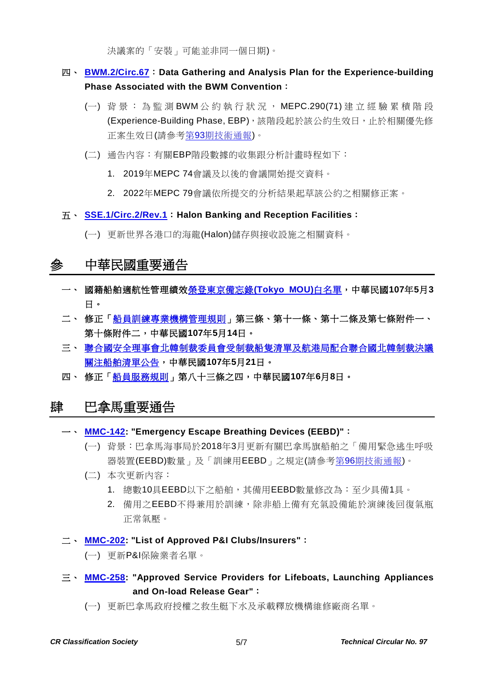決議案的「安裝」可能並非同一個日期)。

### 四、 **[BWM.2/Circ.67](http://www.crclass.org/chinese/download/ti-tc/97/2-4%20BWM.2-Circ.67%20-%20Data%20gathering%20and%20analysis%20plan%20for%20the%20experience-building%20phase%20associated%20with%20the%20BWM...%20(Secretariat).pdf)**:**Data Gathering and Analysis Plan for the Experience-building Phase Associated with the BWM Convention**:

- (一) 背景: 為監測 BWM 公約執行狀況, MEPC.290(71) 建 立 經驗累積階段 (Experience-Building Phase, EBP),該階段起於該公約生效日,止於相關優先修 正案生效日(請參考第93[期技術通報](http://www.crclass.org/chinese/download/ti-tc/93/93.pdf))。
- (二) 通告內容:有關EBP階段數據的收集跟分析計畫時程如下:
	- 1. 2019年MEPC 74會議及以後的會議開始提交資料。
	- 2. 2022年MEPC 79會議依所提交的分析結果起草該公約之相關修正案。

#### 五、 **[SSE.1/Circ.2/Rev.1](http://www.crclass.org/chinese/download/ti-tc/97/2-5%20SSE.1-Circ.2-Rev.1%20-%20Halon%20Banking%20And%20Reception%20Facilities%20(Secretariat).pdf)**:**Halon Banking and Reception Facilities**:

(一) 更新世界各港口的海龍(Halon)儲存與接收設施之相關資料。

### 參 中華民國重要通告

- 一、 國籍船舶適航性管理績[效榮登東京備忘錄](https://www.motcmpb.gov.tw/information_15_13937.html)**(Tokyo MOU)**白名單,中華民國**107**年**5**月**3** 日。
- 二、 修正[「船員訓練專業機構管理規則」](https://gazette.nat.gov.tw/egFront/detail.do?metaid=98591&log=detailLog)第三條、第十一條、第十二條及第七條附件一、 第十條附件二,中華民國**107**年**5**月**14**日。
- 三、 [聯合國安全理事會北韓制裁委員會受制裁船隻清單及航港局配合聯合國北韓制裁決議](https://www.motcmpb.gov.tw/information_103_11998.html) [關注船舶清單公告,](https://www.motcmpb.gov.tw/information_103_11998.html)中華民國**107**年**5**月**21**日。
- 四、 修正[「船員服務規則」](https://gazette.nat.gov.tw/egFront/detail.do?metaid=99235&log=detailLog)第八十三條之四,中華民國**107**年**6**月**8**日。

### 肆 巴拿馬重要通告

#### 一、 **[MMC-142:](http://www.crclass.org/chinese/download/ti-tc/97/4-1%20MMC-142-June-13-2018.pdf) "Emergency Escape Breathing Devices (EEBD)"**:

- (一) 背景:巴拿馬海事局於2018年3月更新有關巴拿馬旗船舶之「備用緊急逃生呼吸 器裝置(EEBD)數量」及「訓練用EEBD」之規定(請參考第96[期技術通報](http://www.crclass.org/chinese/download/ti-tc/96/96.pdf))。
- (二) 本次更新內容:
	- 1. 總數10具EEBD以下之船舶,其備用EEBD數量修改為:至少具備1具。
	- 2. 備用之EEBD不得兼用於訓練,除非船上備有充氣設備能於演練後回復氣瓶 正常氣壓。

#### 二、 **[MMC-202:](http://www.crclass.org/chinese/download/ti-tc/97/4-2%20MMC-202-LIST-OF-APPROVED-PI-INSURERS-MAY-2018.pdf) "List of Approved P&I Clubs/Insurers"**:

(一) 更新P&I保險業者名單。

- 三、 **[MMC-258:](http://www.crclass.org/chinese/download/ti-tc/97/4-3%20Actualizada-MMC-258-Approved-service-providers-for-lifeboats-launching-JUNE-2018.pdf) "Approved Service Providers for Lifeboats, Launching Appliances and On-load Release Gear"**:
	- (一) 更新巴拿馬政府授權之救生艇下水及承載釋放機構維修廠商名單。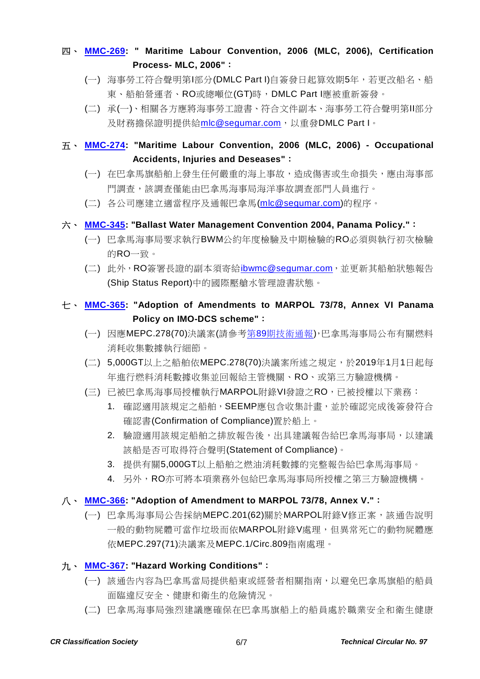### 四、 **[MMC-269:](http://www.crclass.org/chinese/download/ti-tc/97/4-4%20MMC-269-25-05-2018-MLC.pdf) " Maritime Labour Convention, 2006 (MLC, 2006), Certification Process- MLC, 2006"**:

- (一) 海事勞工符合聲明第I部分(DMLC Part I)自簽發日起算效期5年,若更改船名、船 東、船舶營運者、RO或總噸位(GT)時,DMLC Part I應被重新簽發。
- (二) 承(一)、相關各方應將海事勞工證書、符合文件副本、海事勞工符合聲明第II部分 及財務擔保證明提供給[mlc@segumar.com](mailto:mlc@segumar.com), 以重發DMLC Part I。
- 五、 **[MMC-274:](http://www.crclass.org/chinese/download/ti-tc/97/4-5%20MMC-274-May-2018.pdf) "Maritime Labour Convention, 2006 (MLC, 2006) - Occupational Accidents, Injuries and Deseases"**:
	- (一) 在巴拿馬旗船舶上發生任何嚴重的海上事故,造成傷害或生命損失,應由海事部 門調查,該調查僅能由巴拿馬海事局海洋事故調查部門人員進行。
	- (二) 各公司應建立適當程序及通報巴拿馬[\(mlc@segumar.com\)](mailto:mlc@segumar.com)的程序。

#### 六、 **[MMC-345:](http://www.crclass.org/chinese/download/ti-tc/97/4-6%20MMC-345-Ballast-Water-Management-Convention-2004-Panama-Policy-rev-May-2018.pdf) "Ballast Water Management Convention 2004, Panama Policy."**:

- (一) 巴拿馬海事局要求執行BWM公約年度檢驗及中期檢驗的RO必須與執行初次檢驗 的RO一致。
- (二) 此外,RO簽署長證的副本須寄給[ibwmc@segumar.com](mailto:ibwmc@segumar.com),並更新其船舶狀態報告 (Ship Status Report)中的國際壓艙水管理證書狀態。

### 七、 **[MMC-365:](http://www.crclass.org/chinese/download/ti-tc/97/4-7%20MMC-365-June-2018.pdf) "Adoption of Amendments to MARPOL 73/78, Annex VI Panama Policy on IMO-DCS scheme"**:

- (一) 因應MEPC.278(70)決議案(請參考第89[期技術通報](http://www.crclass.org/chinese/download/ti-tc/89/89.pdf)),巴拿馬海事局公布有關燃料 消耗收集數據執行細節。
- (二) 5,000GT以上之船舶依MEPC.278(70)決議案所述之規定,於2019年1月1日起每 年進行燃料消耗數據收集並回報給主管機關、RO、或第三方驗證機構。
- (三) 已被巴拿馬海事局授權執行MARPOL附錄VI發證之RO,已被授權以下業務:
	- 1. 確認適用該規定之船舶, SEEMP應包含收集計畫, 並於確認完成後簽發符合 確認書(Confirmation of Compliance)置於船上。
	- 2. 驗證適用該規定船舶之排放報告後,出具建議報告給巴拿馬海事局,以建議 該船是否可取得符合聲明(Statement of Compliance)。
	- 3. 提供有關5,000GT以上船舶之燃油消耗數據的完整報告給巴拿馬海事局。
	- 4. 另外,RO亦可將本項業務外包給巴拿馬海事局所授權之第三方驗證機構。

#### 八、 **[MMC-366:](http://www.crclass.org/chinese/download/ti-tc/97/4-8%20MMC-366-ADOPTION-OF-AMENDMENT-TO-MARPOL-ANNEX-V-2.pdf) "Adoption of Amendment to MARPOL 73/78, Annex V."**:

(一) 巴拿馬海事局公告採納MEPC.201(62)關於MARPOL附錄V修正案,該通告說明 一般的動物屍體可當作垃圾而依MARPOL附錄V處理,但異常死亡的動物屍體應 依MEPC.297(71)決議案及MEPC.1/Circ.809指南處理。

#### 九、 **[MMC-367:](http://www.crclass.org/chinese/download/ti-tc/97/4-9%20MMC-367-Nueva-25-05-2018-MLC.pdf) "Hazard Working Conditions"**:

- (一) 該通告內容為巴拿馬當局提供船東或經營者相關指南,以避免巴拿馬旗船的船員 面臨違反安全、健康和衛生的危險情況。
- (二) 巴拿馬海事局強烈建議應確保在巴拿馬旗船上的船員處於職業安全和衛生健康